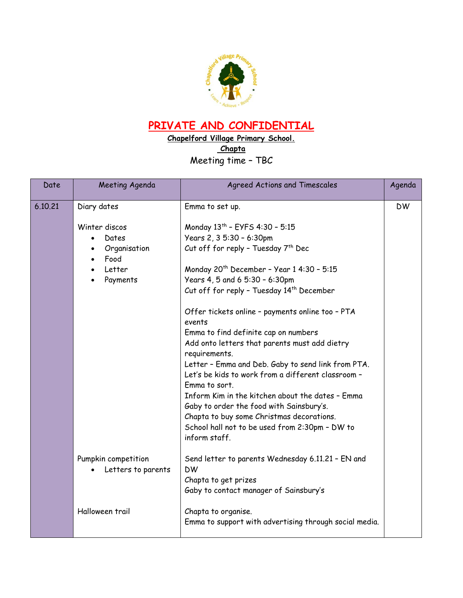

## **PRIVATE AND CONFIDENTIAL**

**Chapelford Village Primary School. Chapta** Meeting time – TBC

| Date    | Meeting Agenda                            | Agreed Actions and Timescales                                                                                             |           |
|---------|-------------------------------------------|---------------------------------------------------------------------------------------------------------------------------|-----------|
| 6.10.21 | Diary dates                               | Emma to set up.                                                                                                           | <b>DW</b> |
|         | Winter discos                             | Monday 13th - EYFS 4:30 - 5:15                                                                                            |           |
|         | Dates                                     | Years 2, 3 5:30 - 6:30pm                                                                                                  |           |
|         | Organisation<br>Food                      | Cut off for reply - Tuesday 7 <sup>th</sup> Dec                                                                           |           |
|         | Letter                                    | Monday 20 <sup>th</sup> December - Year 1 4:30 - 5:15                                                                     |           |
|         | Payments                                  | Years 4, 5 and 6 5:30 - 6:30pm                                                                                            |           |
|         |                                           | Cut off for reply - Tuesday 14 <sup>th</sup> December                                                                     |           |
|         |                                           | Offer tickets online - payments online too - PTA<br>events                                                                |           |
|         |                                           | Emma to find definite cap on numbers                                                                                      |           |
|         |                                           | Add onto letters that parents must add dietry<br>requirements.                                                            |           |
|         |                                           | Letter - Emma and Deb. Gaby to send link from PTA.<br>Let's be kids to work from a different classroom -<br>Emma to sort. |           |
|         |                                           | Inform Kim in the kitchen about the dates - Emma<br>Gaby to order the food with Sainsbury's.                              |           |
|         |                                           | Chapta to buy some Christmas decorations.                                                                                 |           |
|         |                                           | School hall not to be used from 2:30pm - DW to<br>inform staff.                                                           |           |
|         | Pumpkin competition<br>Letters to parents | Send letter to parents Wednesday 6.11.21 - EN and<br><b>DW</b>                                                            |           |
|         |                                           | Chapta to get prizes<br>Gaby to contact manager of Sainsbury's                                                            |           |
|         | Halloween trail                           | Chapta to organise.<br>Emma to support with advertising through social media.                                             |           |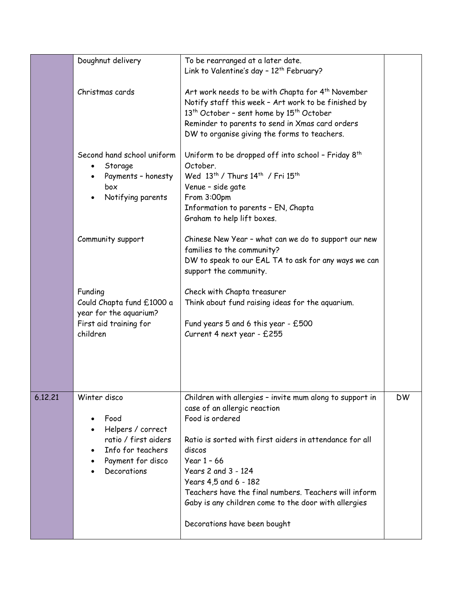|                 | Doughnut delivery                                                                                                          | To be rearranged at a later date.<br>Link to Valentine's day - 12 <sup>th</sup> February?                                                                                                                                                                                                                                                                                                          |           |
|-----------------|----------------------------------------------------------------------------------------------------------------------------|----------------------------------------------------------------------------------------------------------------------------------------------------------------------------------------------------------------------------------------------------------------------------------------------------------------------------------------------------------------------------------------------------|-----------|
| Christmas cards |                                                                                                                            | Art work needs to be with Chapta for 4 <sup>th</sup> November<br>Notify staff this week - Art work to be finished by<br>13 <sup>th</sup> October - sent home by 15 <sup>th</sup> October<br>Reminder to parents to send in Xmas card orders<br>DW to organise giving the forms to teachers.                                                                                                        |           |
|                 | Second hand school uniform<br>Storage<br>Payments - honesty<br>box<br>Notifying parents                                    | Uniform to be dropped off into school - Friday 8 <sup>th</sup><br>October.<br>Wed 13 <sup>th</sup> / Thurs 14 <sup>th</sup> / Fri 15 <sup>th</sup><br>Venue - side gate<br>From 3:00pm<br>Information to parents - EN, Chapta<br>Graham to help lift boxes.                                                                                                                                        |           |
|                 | Community support                                                                                                          | Chinese New Year - what can we do to support our new<br>families to the community?<br>DW to speak to our EAL TA to ask for any ways we can<br>support the community.                                                                                                                                                                                                                               |           |
|                 | Funding<br>Could Chapta fund £1000 a<br>year for the aquarium?<br>First aid training for<br>children                       | Check with Chapta treasurer<br>Think about fund raising ideas for the aquarium.<br>Fund years 5 and 6 this year - £500<br>Current 4 next year - £255                                                                                                                                                                                                                                               |           |
| 6.12.21         | Winter disco<br>Food<br>Helpers / correct<br>ratio / first aiders<br>Info for teachers<br>Payment for disco<br>Decorations | Children with allergies - invite mum along to support in<br>case of an allergic reaction<br>Food is ordered<br>Ratio is sorted with first aiders in attendance for all<br>discos<br>Year $1 - 66$<br>Years 2 and 3 - 124<br>Years 4,5 and 6 - 182<br>Teachers have the final numbers. Teachers will inform<br>Gaby is any children come to the door with allergies<br>Decorations have been bought | <b>DW</b> |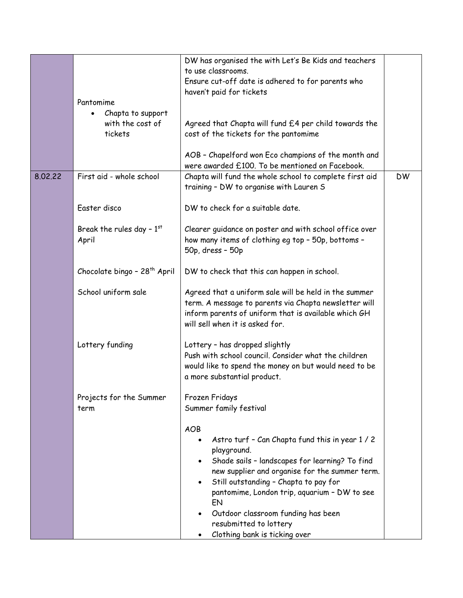|         |                                          | DW has organised the with Let's Be Kids and teachers                                 |           |
|---------|------------------------------------------|--------------------------------------------------------------------------------------|-----------|
|         |                                          | to use classrooms.                                                                   |           |
|         |                                          | Ensure cut-off date is adhered to for parents who                                    |           |
|         |                                          | haven't paid for tickets                                                             |           |
|         | Pantomime                                |                                                                                      |           |
|         |                                          |                                                                                      |           |
|         | Chapta to support                        |                                                                                      |           |
|         | with the cost of                         | Agreed that Chapta will fund £4 per child towards the                                |           |
|         | tickets                                  | cost of the tickets for the pantomime                                                |           |
|         |                                          |                                                                                      |           |
|         |                                          | AOB - Chapelford won Eco champions of the month and                                  |           |
|         |                                          | were awarded £100. To be mentioned on Facebook.                                      |           |
| 8.02.22 | First aid - whole school                 | Chapta will fund the whole school to complete first aid                              | <b>DW</b> |
|         |                                          |                                                                                      |           |
|         |                                          | training - DW to organise with Lauren S                                              |           |
|         |                                          |                                                                                      |           |
|         | Easter disco                             | DW to check for a suitable date.                                                     |           |
|         |                                          |                                                                                      |           |
|         | Break the rules day - $1st$              | Clearer guidance on poster and with school office over                               |           |
|         | April                                    | how many items of clothing eg top - 50p, bottoms -                                   |           |
|         |                                          | 50p, dress - 50p                                                                     |           |
|         |                                          |                                                                                      |           |
|         | Chocolate bingo - 28 <sup>th</sup> April | DW to check that this can happen in school.                                          |           |
|         |                                          |                                                                                      |           |
|         | School uniform sale                      |                                                                                      |           |
|         |                                          | Agreed that a uniform sale will be held in the summer                                |           |
|         |                                          | term. A message to parents via Chapta newsletter will                                |           |
|         |                                          | inform parents of uniform that is available which GH                                 |           |
|         |                                          | will sell when it is asked for.                                                      |           |
|         |                                          |                                                                                      |           |
|         | Lottery funding                          | Lottery - has dropped slightly                                                       |           |
|         |                                          | Push with school council. Consider what the children                                 |           |
|         |                                          | would like to spend the money on but would need to be<br>a more substantial product. |           |
|         |                                          |                                                                                      |           |
|         |                                          |                                                                                      |           |
|         |                                          |                                                                                      |           |
|         | Projects for the Summer                  | Frozen Fridays                                                                       |           |
|         | term                                     | Summer family festival                                                               |           |
|         |                                          |                                                                                      |           |
|         |                                          | <b>AOB</b>                                                                           |           |
|         |                                          | Astro turf - Can Chapta fund this in year 1 / 2<br>$\bullet$                         |           |
|         |                                          | playground.                                                                          |           |
|         |                                          | Shade sails - landscapes for learning? To find                                       |           |
|         |                                          | new supplier and organise for the summer term.                                       |           |
|         |                                          | Still outstanding - Chapta to pay for                                                |           |
|         |                                          | $\bullet$                                                                            |           |
|         |                                          | pantomime, London trip, aquarium - DW to see                                         |           |
|         |                                          | EN                                                                                   |           |
|         |                                          | Outdoor classroom funding has been<br>$\bullet$                                      |           |
|         |                                          | resubmitted to lottery                                                               |           |
|         |                                          | Clothing bank is ticking over<br>٠                                                   |           |